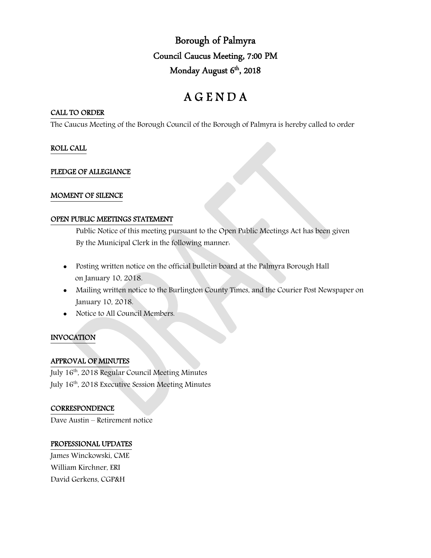Borough of Palmyra Council Caucus Meeting, 7:00 PM Monday August 6<sup>th</sup>, 2018

# A G E N D A

## CALL TO ORDER

The Caucus Meeting of the Borough Council of the Borough of Palmyra is hereby called to order

## ROLL CALL

## PLEDGE OF ALLEGIANCE

## MOMENT OF SILENCE

#### OPEN PUBLIC MEETINGS STATEMENT

Public Notice of this meeting pursuant to the Open Public Meetings Act has been given By the Municipal Clerk in the following manner:

- Posting written notice on the official bulletin board at the Palmyra Borough Hall on January 10, 2018.
- Mailing written notice to the Burlington County Times, and the Courier Post Newspaper on January 10, 2018.
- Notice to All Council Members.

# INVOCATION

# APPROVAL OF MINUTES

July 16<sup>th</sup>, 2018 Regular Council Meeting Minutes July 16th, 2018 Executive Session Meeting Minutes

# **CORRESPONDENCE**

Dave Austin – Retirement notice

#### PROFESSIONAL UPDATES

James Winckowski, CME William Kirchner, ERI David Gerkens, CGP&H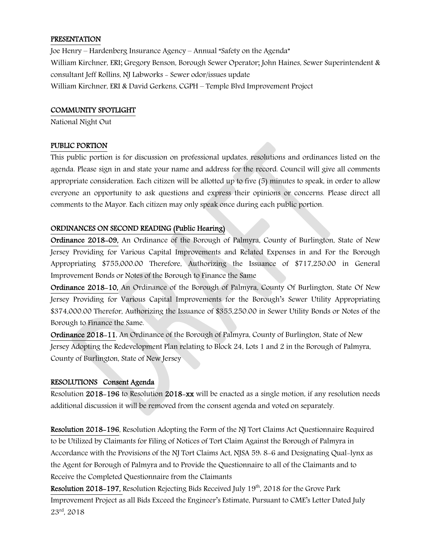#### **PRESENTATION**

Joe Henry – Hardenberg Insurance Agency – Annual "Safety on the Agenda" William Kirchner, ERI; Gregory Benson, Borough Sewer Operator; John Haines, Sewer Superintendent & consultant Jeff Rollins, NJ Labworks - Sewer odor/issues update William Kirchner, ERI & David Gerkens, CGPH – Temple Blvd Improvement Project

#### COMMUNITY SPOTLIGHT

National Night Out

#### PUBLIC PORTION

This public portion is for discussion on professional updates, resolutions and ordinances listed on the agenda. Please sign in and state your name and address for the record. Council will give all comments appropriate consideration. Each citizen will be allotted up to five (5) minutes to speak, in order to allow everyone an opportunity to ask questions and express their opinions or concerns. Please direct all comments to the Mayor. Each citizen may only speak once during each public portion.

# ORDINANCES ON SECOND READING (Public Hearing)

Ordinance 2018-09, An Ordinance of the Borough of Palmyra, County of Burlington, State of New Jersey Providing for Various Capital Improvements and Related Expenses in and For the Borough Appropriating \$755,000.00 Therefore, Authorizing the Issuance of \$717,250.00 in General Improvement Bonds or Notes of the Borough to Finance the Same

Ordinance 2018-10, An Ordinance of the Borough of Palmyra, County Of Burlington, State Of New Jersey Providing for Various Capital Improvements for the Borough's Sewer Utility Appropriating \$374,000.00 Therefor, Authorizing the Issuance of \$355,250.00 in Sewer Utility Bonds or Notes of the Borough to Finance the Same.

Ordinance 2018-11, An Ordinance of the Borough of Palmyra, County of Burlington, State of New Jersey Adopting the Redevelopment Plan relating to Block 24, Lots 1 and 2 in the Borough of Palmyra, County of Burlington, State of New Jersey

#### RESOLUTIONS Consent Agenda

Resolution 2018-196 to Resolution 2018-xx will be enacted as a single motion, if any resolution needs additional discussion it will be removed from the consent agenda and voted on separately.

Resolution 2018-196, Resolution Adopting the Form of the NJ Tort Claims Act Questionnaire Required to be Utilized by Claimants for Filing of Notices of Tort Claim Against the Borough of Palmyra in Accordance with the Provisions of the NJ Tort Claims Act, NJSA 59: 8-6 and Designating Qual-lynx as the Agent for Borough of Palmyra and to Provide the Questionnaire to all of the Claimants and to Receive the Completed Questionnaire from the Claimants

Resolution 2018-197, Resolution Rejecting Bids Received July 19<sup>th</sup>, 2018 for the Grove Park Improvement Project as all Bids Exceed the Engineer's Estimate, Pursuant to CME's Letter Dated July 23rd, 2018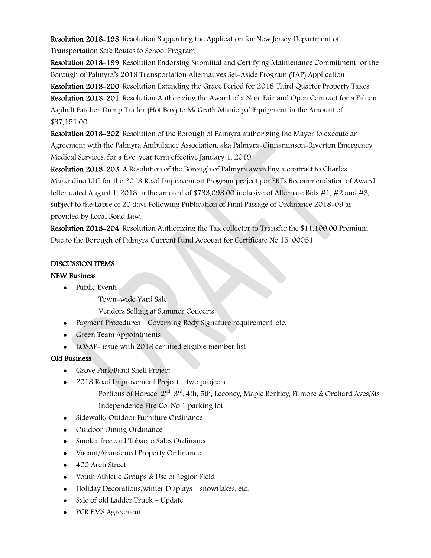Resolution 2018-198, Resolution Supporting the Application for New Jersey Department of Transportation Safe Routes to School Program

Resolution 2018-199, Resolution Endorsing Submittal and Certifying Maintenance Commitment for the Borough of Palmyra's 2018 Transportation Alternatives Set-Aside Program (TAP) Application

Resolution 2018-200, Resolution Extending the Grace Period for 2018 Third Quarter Property Taxes Resolution 2018-201, Resolution Authorizing the Award of a Non-Fair and Open Contract for a Falcon Asphalt Patcher Dump Trailer (Hot Box) to McGrath Municipal Equipment in the Amount of \$37,151.00

Resolution 2018-202, Resolution of the Borough of Palmyra authorizing the Mayor to execute an Agreement with the Palmyra Ambulance Association, aka Palmyra-Cinnaminson-Riverton Emergency Medical Services, for a five-year term effective January 1, 2019.

Resolution 2018-203, A Resolution of the Borough of Palmyra awarding a contract to Charles Marandino LLC for the 2018 Road Improvement Program project per ERI's Recommendation of Award letter dated August 1, 2018 in the amount of \$733,098.00 inclusive of Alternate Bids #1, #2 and #3, subject to the Lapse of 20 days Following Publication of Final Passage of Ordinance 2018-09 as provided by Local Bond Law.

Resolution 2018-204, Resolution Authorizing the Tax collector to Transfer the \$11,100.00 Premium Due to the Borough of Palmyra Current Fund Account for Certificate No.15-00051

# DISCUSSION ITEMS

# NEW Business

- Public Events
	- Town-wide Yard Sale
	- Vendors Selling at Summer Concerts
- Payment Procedures Governing Body Signature requirement, etc.
- Green Team Appointments
- LOSAP- issue with 2018 certified eligible member list

# Old Business

- Grove Park/Band Shell Project
- 2018 Road Improvement Project two projects
	- Portions of Horace, 2<sup>nd</sup>, 3<sup>rd</sup>, 4th, 5th, Leconey, Maple Berkley, Filmore & Orchard Aves/Sts Independence Fire Co. No 1 parking lot
- Sidewalk/ Outdoor Furniture Ordinance
- Outdoor Dining Ordinance
- Smoke-free and Tobacco Sales Ordinance
- Vacant/Abandoned Property Ordinance
- 400 Arch Street
- Youth Athletic Groups & Use of Legion Field
- Holiday Decorations/winter Displays snowflakes, etc.
- Sale of old Ladder Truck Update
- PCR EMS Agreement